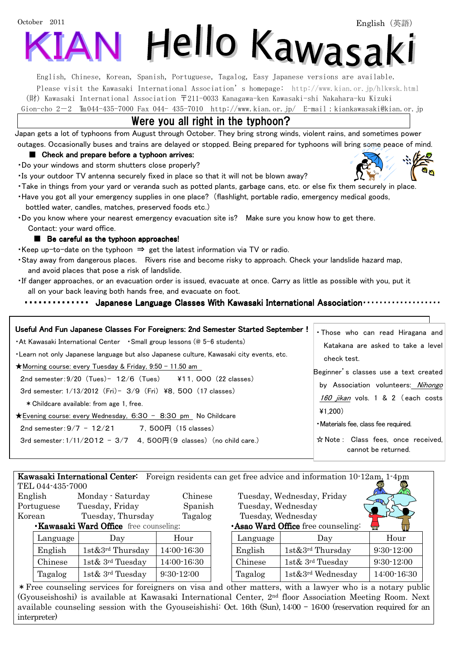# October 2011 Hello Kawasaki

English, Chinese, Korean, Spanish, Portuguese, Tagalog, Easy Japanese versions are available.

Please visit the Kawasaki International Association's homepage: <http://www.kian.or.jp/hlkwsk.html> (財) Kawasaki International Association 〒211-0033 Kanagawa-ken Kawasaki-shi Nakahara-ku Kizuki

Gion-cho 2-2  $\text{Im}044-435-7000$  Fax 044- 435-7010 <http://www.kian.or.jp/>E-mail:kiankawasaki@kian.or.jp

# Were you all right in the typhoon?

 Japan gets a lot of typhoons from August through October. They bring strong winds, violent rains, and sometimes power outages. Occasionally buses and trains are delayed or stopped. Being prepared for typhoons will bring some peace of mind.

#### ■ Check and prepare before a typhoon arrives:

・Do your windows and storm shutters close properly?

・Is your outdoor TV antenna securely fixed in place so that it will not be blown away?

- ・Take in things from your yard or veranda such as potted plants, garbage cans, etc. or else fix them securely in place.
- ・Have you got all your emergency supplies in one place? (flashlight, portable radio, emergency medical goods, bottled water, candles, matches, preserved foods etc.)
- ・Do you know where your nearest emergency evacuation site is? Make sure you know how to get there. Contact: your ward office.

#### ■ Be careful as the typhoon approaches!

l<br>I

・Keep up-to-date on the typhoon ⇒ get the latest information via TV or radio.

- ・Stay away from dangerous places. Rivers rise and become risky to approach. Check your landslide hazard map, and avoid places that pose a risk of landslide.
- ・If danger approaches, or an evacuation order is issued, evacuate at once. Carry as little as possible with you, put it all on your back leaving both hands free, and evacuate on foot.

#### ・・・・・・・・・・・・・・ ・・・・・・・・・・・・・・ ・・・・・・・・・・・・・・ Japanese Language Classes With Kawasaki International Association Kawasaki International Association・・・・・・・・・・・・・・・・・・・ Association・・・・・・・・・・・・・・・・・・・

| <b>Kawasaki International Center:</b> Foreign residents can get free advice and information 10.12am, 1.4pm |          |                   |              |  |                                               |                        |              |
|------------------------------------------------------------------------------------------------------------|----------|-------------------|--------------|--|-----------------------------------------------|------------------------|--------------|
| TEL 044-435-7000                                                                                           |          |                   |              |  |                                               |                        |              |
| English                                                                                                    |          | Monday - Saturday | Chinese      |  | Tuesday, Wednesday, Friday                    |                        |              |
| Portuguese                                                                                                 |          | Tuesday, Friday   | Spanish      |  | Tuesday, Wednesday                            |                        |              |
| Korean                                                                                                     |          | Tuesday, Thursday | Tagalog      |  | Tuesday, Wednesday                            |                        |              |
| <b>Kawasaki Ward Office</b> free counseling:                                                               |          |                   |              |  | <b>Asao Ward Office</b> free counseling:<br>W |                        |              |
|                                                                                                            | Language | Day               | Hour         |  | Language                                      | Day                    | Hour         |
|                                                                                                            | English  | 1st&3rd Thursday  | 14:00-16:30  |  | English                                       | $1st\&3^{rd}$ Thursday | $9:30-12:00$ |
|                                                                                                            | Chinese  | 1st& 3rd Tuesday  | 14:00-16:30  |  | Chinese                                       | 1st& 3rd Tuesday       | $9:30-12:00$ |
|                                                                                                            | Tagalog  | 1st& 3rd Tuesday  | $9:30-12:00$ |  | Tagalog                                       | 1st&3rd Wednesday      | 14:00-16:30  |

\*Free counseling services for foreigners on visa and other matters, with a lawyer who is a notary public (Gyouseishoshi) is available at Kawasaki International Center, 2nd floor Association Meeting Room. Next available counseling session with the Gyouseishishi: Oct. 16th (Sun), 14:00 – 16:00 (reservation required for an interpreter)